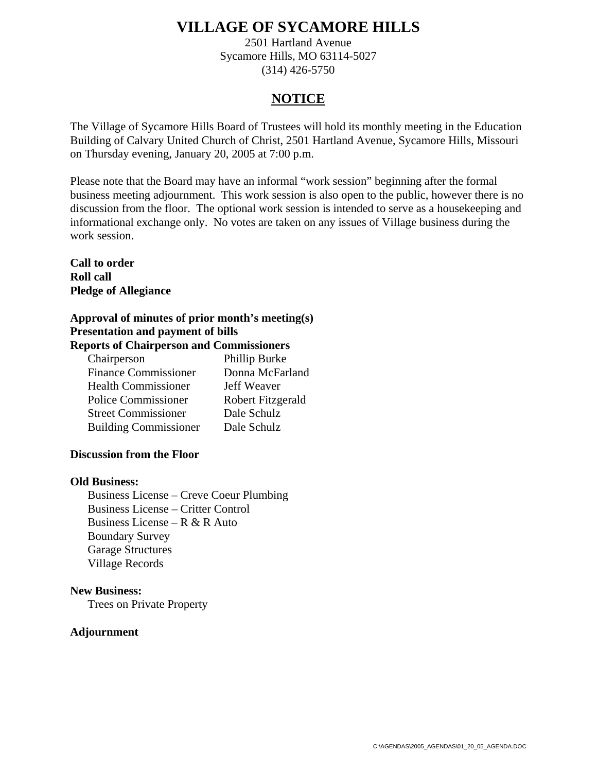2501 Hartland Avenue Sycamore Hills, MO 63114-5027 (314) 426-5750

### **NOTICE**

The Village of Sycamore Hills Board of Trustees will hold its monthly meeting in the Education Building of Calvary United Church of Christ, 2501 Hartland Avenue, Sycamore Hills, Missouri on Thursday evening, January 20, 2005 at 7:00 p.m.

Please note that the Board may have an informal "work session" beginning after the formal business meeting adjournment. This work session is also open to the public, however there is no discussion from the floor. The optional work session is intended to serve as a housekeeping and informational exchange only. No votes are taken on any issues of Village business during the work session.

**Call to order Roll call Pledge of Allegiance** 

### **Approval of minutes of prior month's meeting(s) Presentation and payment of bills Reports of Chairperson and Commissioners**

| Chairperson                  | Phillip Burke     |
|------------------------------|-------------------|
| <b>Finance Commissioner</b>  | Donna McFarland   |
| <b>Health Commissioner</b>   | Jeff Weaver       |
| <b>Police Commissioner</b>   | Robert Fitzgerald |
| <b>Street Commissioner</b>   | Dale Schulz       |
| <b>Building Commissioner</b> | Dale Schulz       |

### **Discussion from the Floor**

### **Old Business:**

Business License – Creve Coeur Plumbing Business License – Critter Control Business License – R  $&$  R Auto Boundary Survey Garage Structures Village Records

### **New Business:**

Trees on Private Property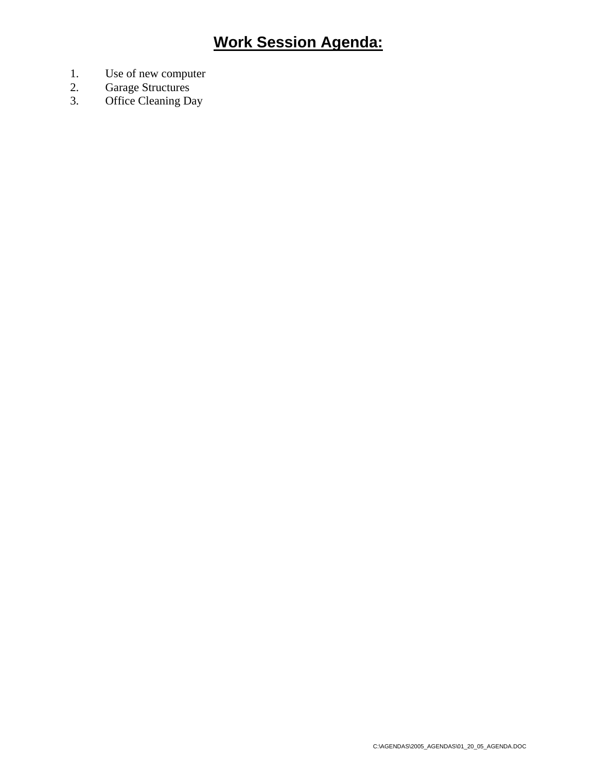- 1. Use of new computer
- 2. Garage Structures
- 3. Office Cleaning Day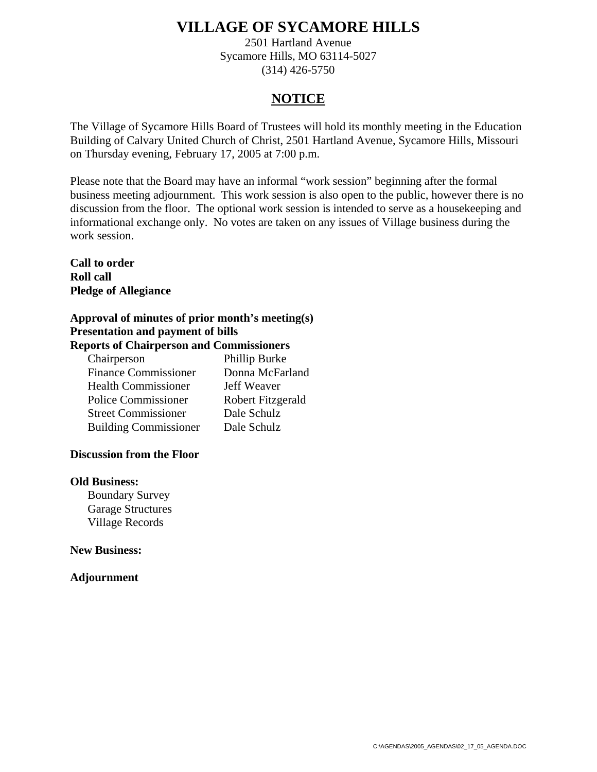2501 Hartland Avenue Sycamore Hills, MO 63114-5027 (314) 426-5750

### **NOTICE**

The Village of Sycamore Hills Board of Trustees will hold its monthly meeting in the Education Building of Calvary United Church of Christ, 2501 Hartland Avenue, Sycamore Hills, Missouri on Thursday evening, February 17, 2005 at 7:00 p.m.

Please note that the Board may have an informal "work session" beginning after the formal business meeting adjournment. This work session is also open to the public, however there is no discussion from the floor. The optional work session is intended to serve as a housekeeping and informational exchange only. No votes are taken on any issues of Village business during the work session.

**Call to order Roll call Pledge of Allegiance** 

### **Approval of minutes of prior month's meeting(s) Presentation and payment of bills Reports of Chairperson and Commissioners**

| Chairperson                  | Phillip Burke     |
|------------------------------|-------------------|
| <b>Finance Commissioner</b>  | Donna McFarland   |
| <b>Health Commissioner</b>   | Jeff Weaver       |
| <b>Police Commissioner</b>   | Robert Fitzgerald |
| <b>Street Commissioner</b>   | Dale Schulz       |
| <b>Building Commissioner</b> | Dale Schulz       |

### **Discussion from the Floor**

### **Old Business:**

Boundary Survey Garage Structures Village Records

### **New Business:**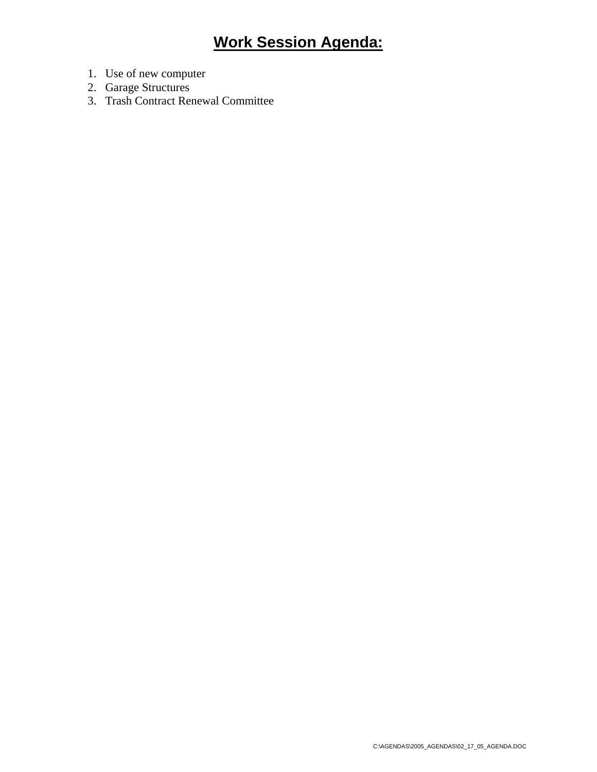- 1. Use of new computer
- 2. Garage Structures
- 3. Trash Contract Renewal Committee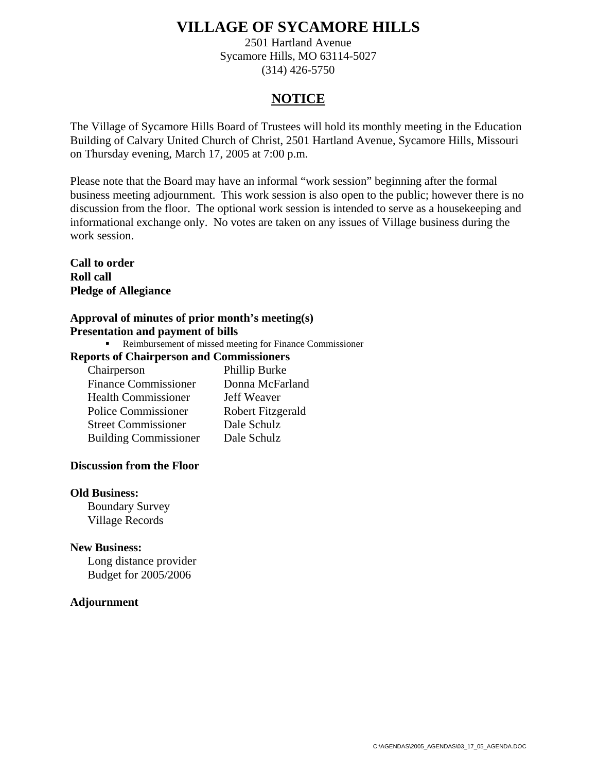2501 Hartland Avenue Sycamore Hills, MO 63114-5027 (314) 426-5750

### **NOTICE**

The Village of Sycamore Hills Board of Trustees will hold its monthly meeting in the Education Building of Calvary United Church of Christ, 2501 Hartland Avenue, Sycamore Hills, Missouri on Thursday evening, March 17, 2005 at 7:00 p.m.

Please note that the Board may have an informal "work session" beginning after the formal business meeting adjournment. This work session is also open to the public; however there is no discussion from the floor. The optional work session is intended to serve as a housekeeping and informational exchange only. No votes are taken on any issues of Village business during the work session.

**Call to order Roll call Pledge of Allegiance** 

### **Approval of minutes of prior month's meeting(s) Presentation and payment of bills**

Reimbursement of missed meeting for Finance Commissioner

### **Reports of Chairperson and Commissioners**

| Chairperson                  | Phillip Burke     |
|------------------------------|-------------------|
| <b>Finance Commissioner</b>  | Donna McFarland   |
| <b>Health Commissioner</b>   | Jeff Weaver       |
| <b>Police Commissioner</b>   | Robert Fitzgerald |
| <b>Street Commissioner</b>   | Dale Schulz       |
| <b>Building Commissioner</b> | Dale Schulz       |

### **Discussion from the Floor**

### **Old Business:**

Boundary Survey Village Records

### **New Business:**

Long distance provider Budget for 2005/2006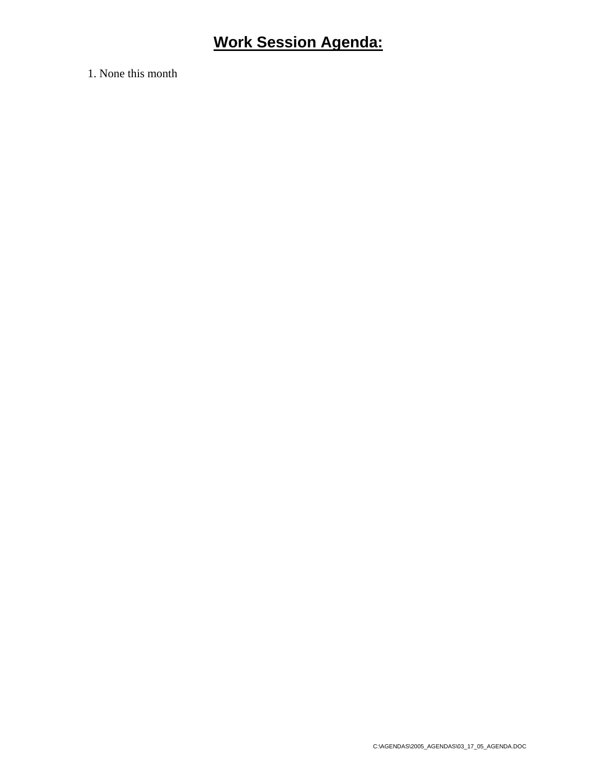1. None this month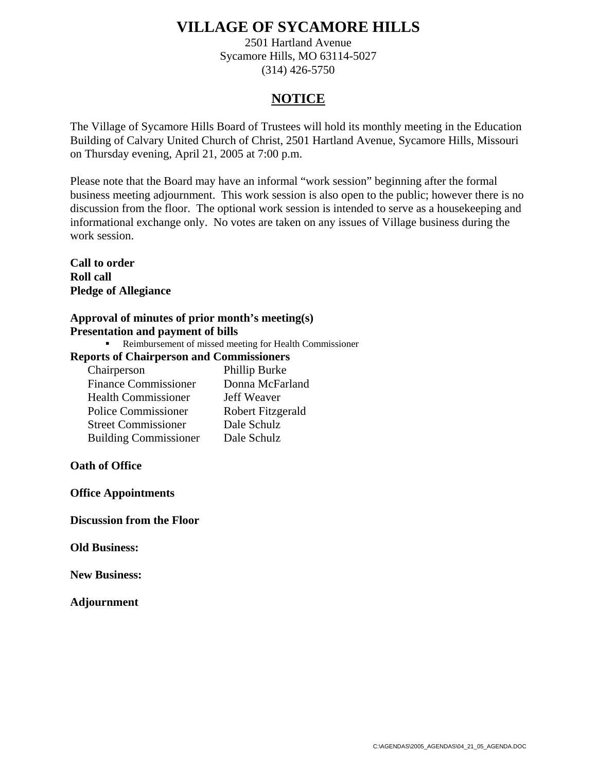2501 Hartland Avenue Sycamore Hills, MO 63114-5027 (314) 426-5750

### **NOTICE**

The Village of Sycamore Hills Board of Trustees will hold its monthly meeting in the Education Building of Calvary United Church of Christ, 2501 Hartland Avenue, Sycamore Hills, Missouri on Thursday evening, April 21, 2005 at 7:00 p.m.

Please note that the Board may have an informal "work session" beginning after the formal business meeting adjournment. This work session is also open to the public; however there is no discussion from the floor. The optional work session is intended to serve as a housekeeping and informational exchange only. No votes are taken on any issues of Village business during the work session.

**Call to order Roll call Pledge of Allegiance** 

### **Approval of minutes of prior month's meeting(s) Presentation and payment of bills**

Reimbursement of missed meeting for Health Commissioner

### **Reports of Chairperson and Commissioners**

| Chairperson                  | Phillip Burke     |
|------------------------------|-------------------|
| <b>Finance Commissioner</b>  | Donna McFarland   |
| <b>Health Commissioner</b>   | Jeff Weaver       |
| <b>Police Commissioner</b>   | Robert Fitzgerald |
| <b>Street Commissioner</b>   | Dale Schulz       |
| <b>Building Commissioner</b> | Dale Schulz       |

### **Oath of Office**

**Office Appointments** 

**Discussion from the Floor**

**Old Business:** 

**New Business:**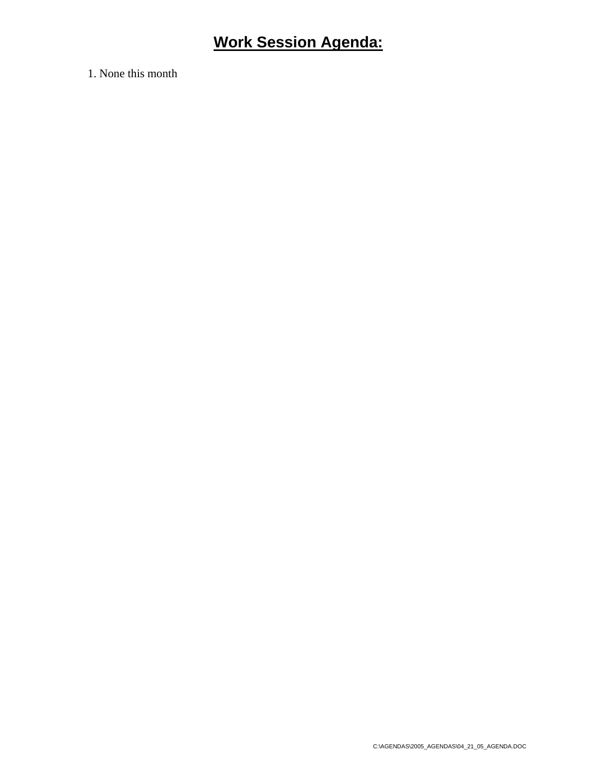1. None this month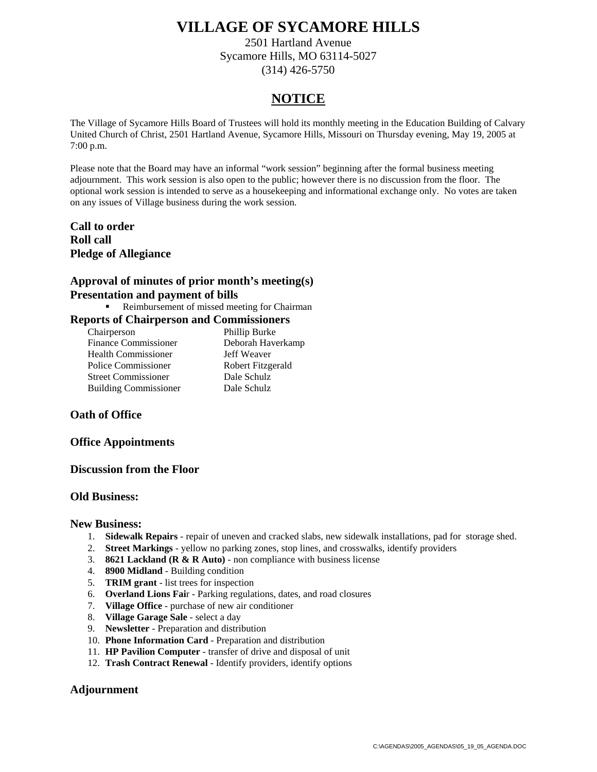2501 Hartland Avenue Sycamore Hills, MO 63114-5027 (314) 426-5750

## **NOTICE**

The Village of Sycamore Hills Board of Trustees will hold its monthly meeting in the Education Building of Calvary United Church of Christ, 2501 Hartland Avenue, Sycamore Hills, Missouri on Thursday evening, May 19, 2005 at 7:00 p.m.

Please note that the Board may have an informal "work session" beginning after the formal business meeting adjournment. This work session is also open to the public; however there is no discussion from the floor. The optional work session is intended to serve as a housekeeping and informational exchange only. No votes are taken on any issues of Village business during the work session.

**Call to order Roll call Pledge of Allegiance** 

### **Approval of minutes of prior month's meeting(s) Presentation and payment of bills**

Reimbursement of missed meeting for Chairman

### **Reports of Chairperson and Commissioners**

| Chairperson                  | Phillip Burke     |
|------------------------------|-------------------|
| <b>Finance Commissioner</b>  | Deborah Haverkamp |
| <b>Health Commissioner</b>   | Jeff Weaver       |
| Police Commissioner          | Robert Fitzgerald |
| <b>Street Commissioner</b>   | Dale Schulz       |
| <b>Building Commissioner</b> | Dale Schulz       |

### **Oath of Office**

### **Office Appointments**

### **Discussion from the Floor**

### **Old Business:**

### **New Business:**

- 1. **Sidewalk Repairs** repair of uneven and cracked slabs, new sidewalk installations, pad for storage shed.
- 2. **Street Markings** yellow no parking zones, stop lines, and crosswalks, identify providers
- 3. **8621 Lackland (R & R Auto)** non compliance with business license
- 4. **8900 Midland**  Building condition
- 5. **TRIM grant** list trees for inspection
- 6. **Overland Lions Fai**r Parking regulations, dates, and road closures
- 7. **Village Office** purchase of new air conditioner
- 8. **Village Garage Sale** select a day
- 9. **Newsletter** Preparation and distribution
- 10. **Phone Information Card** Preparation and distribution
- 11. **HP Pavilion Computer** transfer of drive and disposal of unit
- 12. **Trash Contract Renewal**  Identify providers, identify options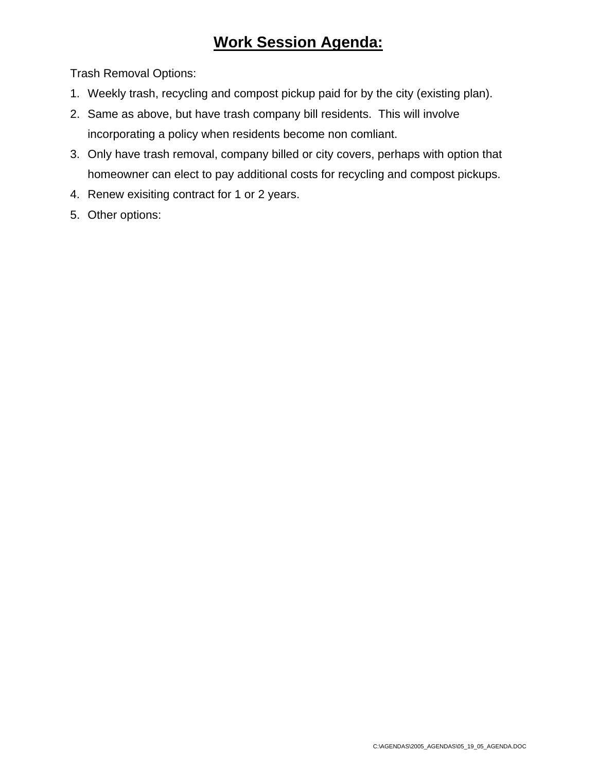Trash Removal Options:

- 1. Weekly trash, recycling and compost pickup paid for by the city (existing plan).
- 2. Same as above, but have trash company bill residents. This will involve incorporating a policy when residents become non comliant.
- 3. Only have trash removal, company billed or city covers, perhaps with option that homeowner can elect to pay additional costs for recycling and compost pickups.
- 4. Renew exisiting contract for 1 or 2 years.
- 5. Other options: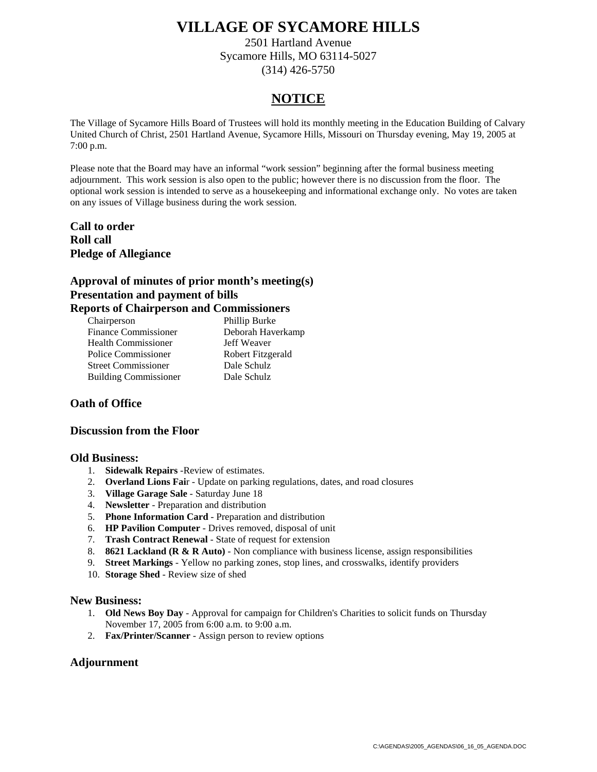2501 Hartland Avenue Sycamore Hills, MO 63114-5027 (314) 426-5750

## **NOTICE**

The Village of Sycamore Hills Board of Trustees will hold its monthly meeting in the Education Building of Calvary United Church of Christ, 2501 Hartland Avenue, Sycamore Hills, Missouri on Thursday evening, May 19, 2005 at 7:00 p.m.

Please note that the Board may have an informal "work session" beginning after the formal business meeting adjournment. This work session is also open to the public; however there is no discussion from the floor. The optional work session is intended to serve as a housekeeping and informational exchange only. No votes are taken on any issues of Village business during the work session.

**Call to order Roll call Pledge of Allegiance** 

### **Approval of minutes of prior month's meeting(s) Presentation and payment of bills Reports of Chairperson and Commissioners**

| Chairperson                  | Phillip Burke     |
|------------------------------|-------------------|
| <b>Finance Commissioner</b>  | Deborah Haverkamp |
| <b>Health Commissioner</b>   | Jeff Weaver       |
| Police Commissioner          | Robert Fitzgerald |
| <b>Street Commissioner</b>   | Dale Schulz       |
| <b>Building Commissioner</b> | Dale Schulz       |
|                              |                   |

### **Oath of Office**

### **Discussion from the Floor**

### **Old Business:**

- 1. **Sidewalk Repairs** -Review of estimates.
- 2. **Overland Lions Fai**r Update on parking regulations, dates, and road closures
- 3. **Village Garage Sale** Saturday June 18
- 4. **Newsletter** Preparation and distribution
- 5. **Phone Information Card** Preparation and distribution
- 6. **HP Pavilion Computer** Drives removed, disposal of unit
- 7. **Trash Contract Renewal**  State of request for extension
- 8. **8621 Lackland (R & R Auto)** Non compliance with business license, assign responsibilities
- 9. **Street Markings** Yellow no parking zones, stop lines, and crosswalks, identify providers
- 10. **Storage Shed** Review size of shed

### **New Business:**

- 1. **Old News Boy Day** Approval for campaign for Children's Charities to solicit funds on Thursday November 17, 2005 from 6:00 a.m. to 9:00 a.m.
- 2. **Fax/Printer/Scanner** Assign person to review options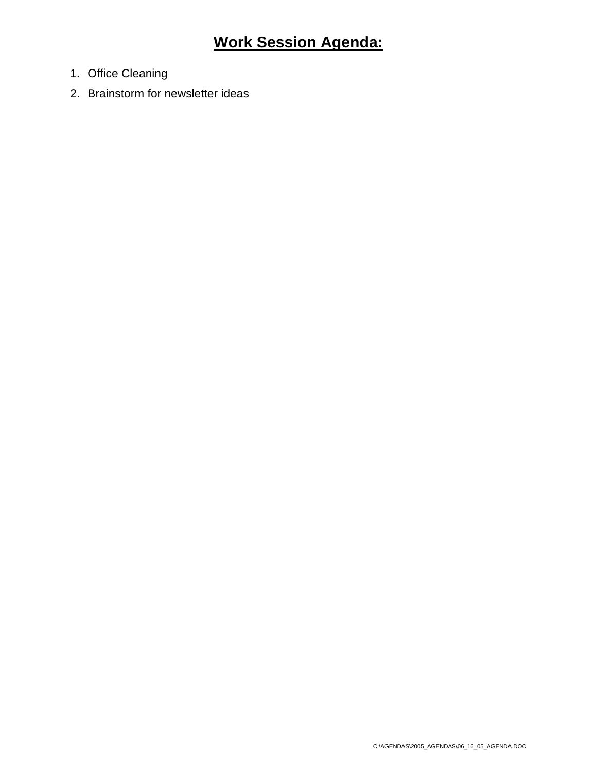- 1. Office Cleaning
- 2. Brainstorm for newsletter ideas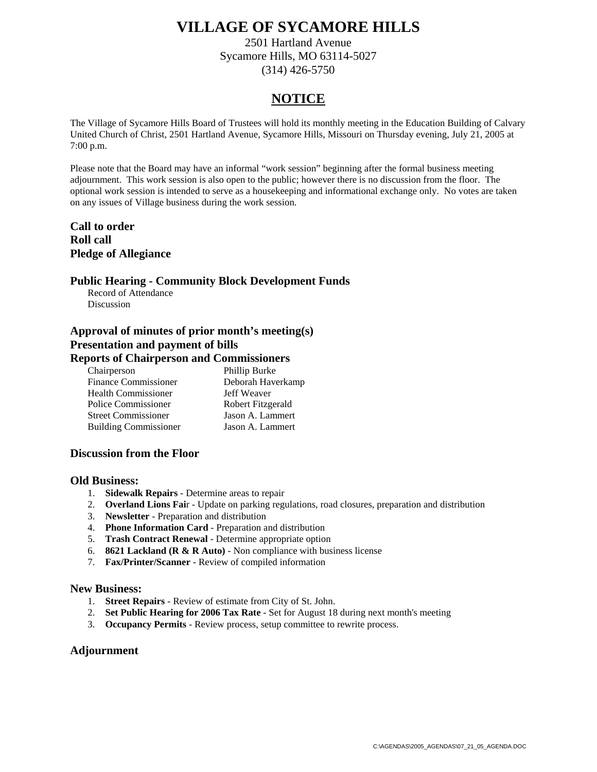2501 Hartland Avenue Sycamore Hills, MO 63114-5027 (314) 426-5750

## **NOTICE**

The Village of Sycamore Hills Board of Trustees will hold its monthly meeting in the Education Building of Calvary United Church of Christ, 2501 Hartland Avenue, Sycamore Hills, Missouri on Thursday evening, July 21, 2005 at 7:00 p.m.

Please note that the Board may have an informal "work session" beginning after the formal business meeting adjournment. This work session is also open to the public; however there is no discussion from the floor. The optional work session is intended to serve as a housekeeping and informational exchange only. No votes are taken on any issues of Village business during the work session.

**Call to order Roll call Pledge of Allegiance** 

### **Public Hearing - Community Block Development Funds**

Record of Attendance Discussion

### **Approval of minutes of prior month's meeting(s) Presentation and payment of bills Reports of Chairperson and Commissioners**

| Chairperson                  | Phillip Burke     |
|------------------------------|-------------------|
| <b>Finance Commissioner</b>  | Deborah Haverkamp |
| <b>Health Commissioner</b>   | Jeff Weaver       |
| Police Commissioner          | Robert Fitzgerald |
| <b>Street Commissioner</b>   | Jason A. Lammert  |
| <b>Building Commissioner</b> | Jason A. Lammert  |

### **Discussion from the Floor**

### **Old Business:**

- 1. **Sidewalk Repairs** Determine areas to repair
- 2. **Overland Lions Fai**r Update on parking regulations, road closures, preparation and distribution
- 3. **Newsletter** Preparation and distribution
- 4. **Phone Information Card** Preparation and distribution
- 5. **Trash Contract Renewal**  Determine appropriate option
- 6. **8621 Lackland (R & R Auto)** Non compliance with business license
- 7. **Fax/Printer/Scanner** Review of compiled information

### **New Business:**

- 1. **Street Repairs** Review of estimate from City of St. John.
- 2. **Set Public Hearing for 2006 Tax Rate** Set for August 18 during next month's meeting
- 3. **Occupancy Permits** Review process, setup committee to rewrite process.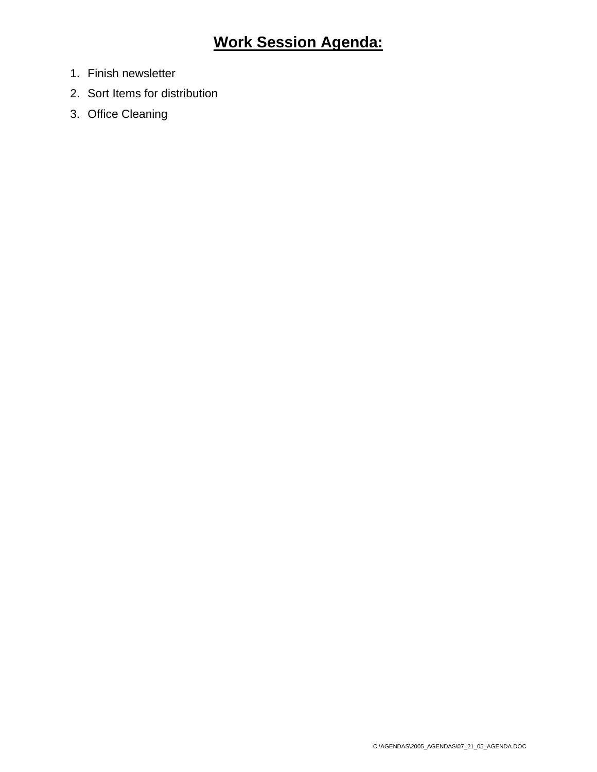- 1. Finish newsletter
- 2. Sort Items for distribution
- 3. Office Cleaning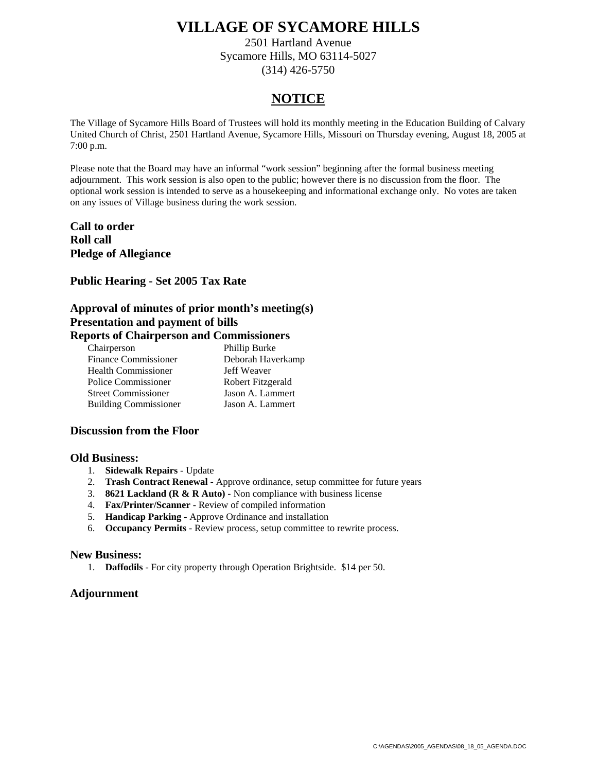2501 Hartland Avenue Sycamore Hills, MO 63114-5027 (314) 426-5750

## **NOTICE**

The Village of Sycamore Hills Board of Trustees will hold its monthly meeting in the Education Building of Calvary United Church of Christ, 2501 Hartland Avenue, Sycamore Hills, Missouri on Thursday evening, August 18, 2005 at 7:00 p.m.

Please note that the Board may have an informal "work session" beginning after the formal business meeting adjournment. This work session is also open to the public; however there is no discussion from the floor. The optional work session is intended to serve as a housekeeping and informational exchange only. No votes are taken on any issues of Village business during the work session.

**Call to order Roll call Pledge of Allegiance** 

### **Public Hearing - Set 2005 Tax Rate**

### **Approval of minutes of prior month's meeting(s) Presentation and payment of bills Reports of Chairperson and Commissioners**

| sor to or chain person and commissioners |                   |
|------------------------------------------|-------------------|
| Chairperson                              | Phillip Burke     |
| <b>Finance Commissioner</b>              | Deborah Haverkamp |
| <b>Health Commissioner</b>               | Jeff Weaver       |
| Police Commissioner                      | Robert Fitzgerald |
| <b>Street Commissioner</b>               | Jason A. Lammert  |
| <b>Building Commissioner</b>             | Jason A. Lammert  |

### **Discussion from the Floor**

### **Old Business:**

- 1. **Sidewalk Repairs** Update
- 2. **Trash Contract Renewal**  Approve ordinance, setup committee for future years
- 3. **8621 Lackland (R & R Auto)** Non compliance with business license
- 4. **Fax/Printer/Scanner** Review of compiled information
- 5. **Handicap Parking** Approve Ordinance and installation
- 6. **Occupancy Permits** Review process, setup committee to rewrite process.

### **New Business:**

1. **Daffodils** - For city property through Operation Brightside. \$14 per 50.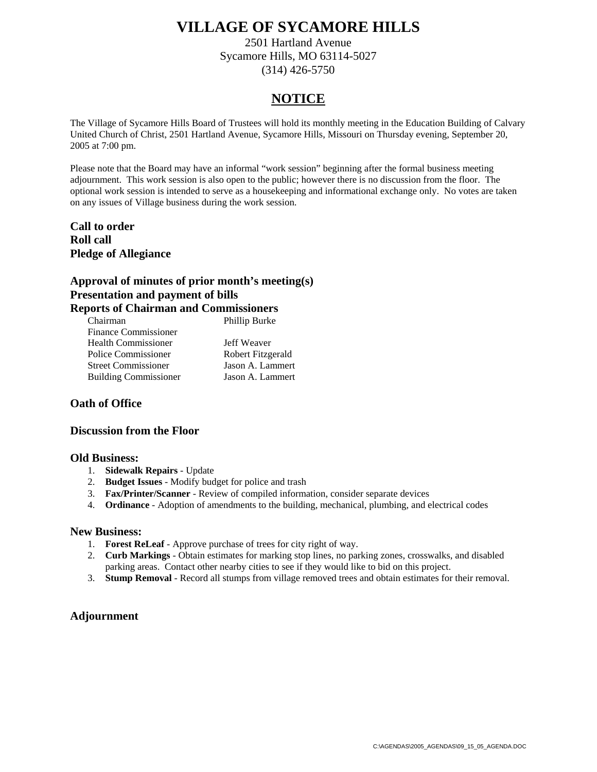2501 Hartland Avenue Sycamore Hills, MO 63114-5027 (314) 426-5750

## **NOTICE**

The Village of Sycamore Hills Board of Trustees will hold its monthly meeting in the Education Building of Calvary United Church of Christ, 2501 Hartland Avenue, Sycamore Hills, Missouri on Thursday evening, September 20, 2005 at 7:00 pm.

Please note that the Board may have an informal "work session" beginning after the formal business meeting adjournment. This work session is also open to the public; however there is no discussion from the floor. The optional work session is intended to serve as a housekeeping and informational exchange only. No votes are taken on any issues of Village business during the work session.

**Call to order Roll call Pledge of Allegiance** 

### **Approval of minutes of prior month's meeting(s) Presentation and payment of bills Reports of Chairman and Commissioners**

| Chairman                     | Phillip Burke     |
|------------------------------|-------------------|
| <b>Finance Commissioner</b>  |                   |
| <b>Health Commissioner</b>   | Jeff Weaver       |
| Police Commissioner          | Robert Fitzgerald |
| <b>Street Commissioner</b>   | Jason A. Lammert  |
| <b>Building Commissioner</b> | Jason A. Lammert  |
|                              |                   |

### **Oath of Office**

### **Discussion from the Floor**

### **Old Business:**

- 1. **Sidewalk Repairs** Update
- 2. **Budget Issues**  Modify budget for police and trash
- 3. **Fax/Printer/Scanner** Review of compiled information, consider separate devices
- 4. **Ordinance** Adoption of amendments to the building, mechanical, plumbing, and electrical codes

### **New Business:**

- 1. **Forest ReLeaf** Approve purchase of trees for city right of way.
- 2. **Curb Markings** Obtain estimates for marking stop lines, no parking zones, crosswalks, and disabled parking areas. Contact other nearby cities to see if they would like to bid on this project.
- 3. **Stump Removal** Record all stumps from village removed trees and obtain estimates for their removal.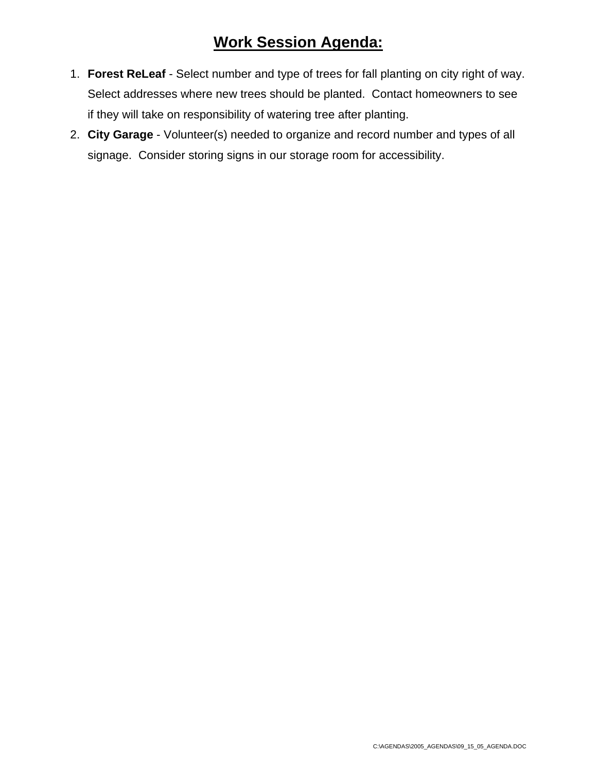- 1. **Forest ReLeaf** Select number and type of trees for fall planting on city right of way. Select addresses where new trees should be planted. Contact homeowners to see if they will take on responsibility of watering tree after planting.
- 2. **City Garage** Volunteer(s) needed to organize and record number and types of all signage. Consider storing signs in our storage room for accessibility.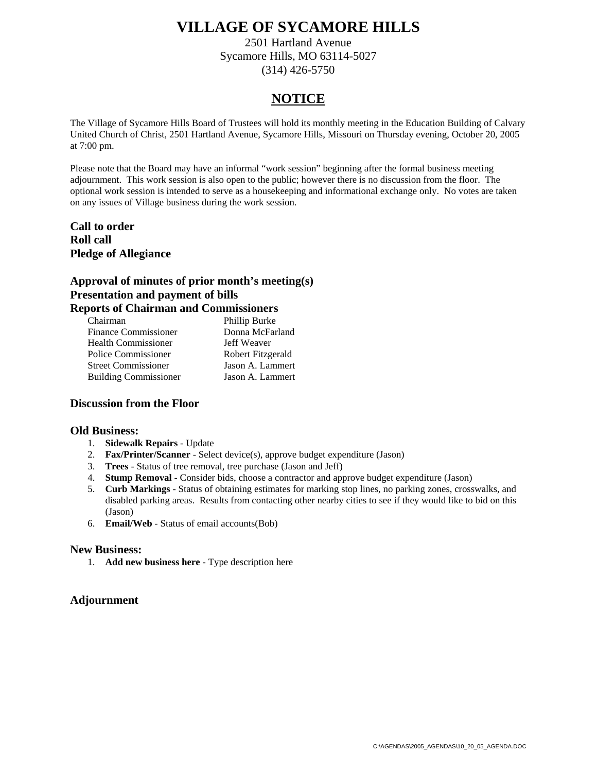2501 Hartland Avenue Sycamore Hills, MO 63114-5027 (314) 426-5750

## **NOTICE**

The Village of Sycamore Hills Board of Trustees will hold its monthly meeting in the Education Building of Calvary United Church of Christ, 2501 Hartland Avenue, Sycamore Hills, Missouri on Thursday evening, October 20, 2005 at 7:00 pm.

Please note that the Board may have an informal "work session" beginning after the formal business meeting adjournment. This work session is also open to the public; however there is no discussion from the floor. The optional work session is intended to serve as a housekeeping and informational exchange only. No votes are taken on any issues of Village business during the work session.

**Call to order Roll call Pledge of Allegiance** 

### **Approval of minutes of prior month's meeting(s) Presentation and payment of bills Reports of Chairman and Commissioners**

| ports of Chamman and Commissioners |                   |
|------------------------------------|-------------------|
| Chairman                           | Phillip Burke     |
| <b>Finance Commissioner</b>        | Donna McFarland   |
| <b>Health Commissioner</b>         | Jeff Weaver       |
| Police Commissioner                | Robert Fitzgerald |
| <b>Street Commissioner</b>         | Jason A. Lammert  |
| <b>Building Commissioner</b>       | Jason A. Lammert  |
|                                    |                   |

### **Discussion from the Floor**

### **Old Business:**

- 1. **Sidewalk Repairs** Update
- 2. **Fax/Printer/Scanner** Select device(s), approve budget expenditure (Jason)
- 3. **Trees** Status of tree removal, tree purchase (Jason and Jeff)
- 4. **Stump Removal** Consider bids, choose a contractor and approve budget expenditure (Jason)
- 5. **Curb Markings** Status of obtaining estimates for marking stop lines, no parking zones, crosswalks, and disabled parking areas. Results from contacting other nearby cities to see if they would like to bid on this (Jason)
- 6. **Email/Web** Status of email accounts(Bob)

### **New Business:**

1. **Add new business here** - Type description here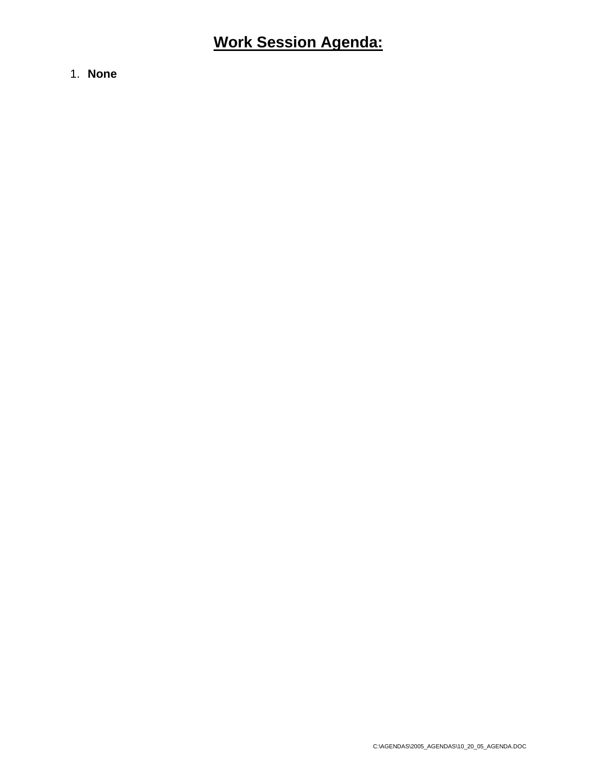1. **None**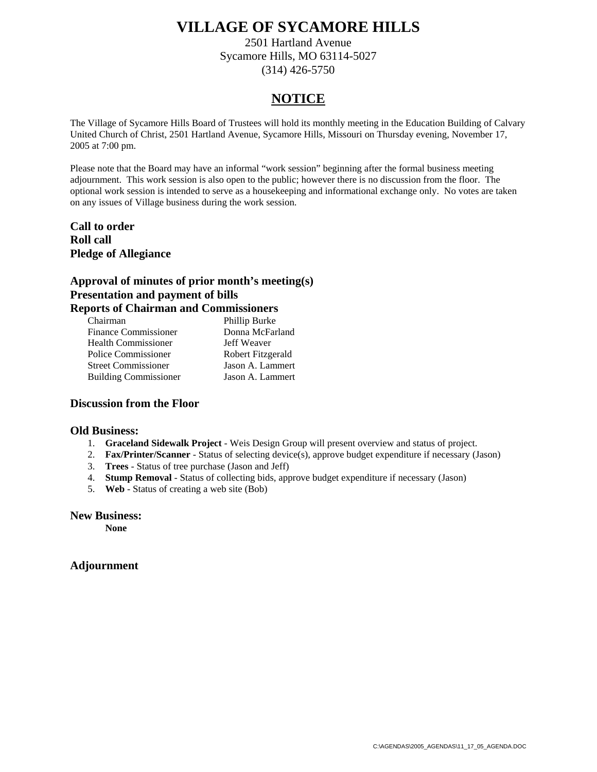2501 Hartland Avenue Sycamore Hills, MO 63114-5027 (314) 426-5750

## **NOTICE**

The Village of Sycamore Hills Board of Trustees will hold its monthly meeting in the Education Building of Calvary United Church of Christ, 2501 Hartland Avenue, Sycamore Hills, Missouri on Thursday evening, November 17, 2005 at 7:00 pm.

Please note that the Board may have an informal "work session" beginning after the formal business meeting adjournment. This work session is also open to the public; however there is no discussion from the floor. The optional work session is intended to serve as a housekeeping and informational exchange only. No votes are taken on any issues of Village business during the work session.

**Call to order Roll call Pledge of Allegiance** 

### **Approval of minutes of prior month's meeting(s) Presentation and payment of bills Reports of Chairman and Commissioners**

| ports or Chamman and Commissioners |                   |
|------------------------------------|-------------------|
| Chairman                           | Phillip Burke     |
| <b>Finance Commissioner</b>        | Donna McFarland   |
| <b>Health Commissioner</b>         | Jeff Weaver       |
| Police Commissioner                | Robert Fitzgerald |
| <b>Street Commissioner</b>         | Jason A. Lammert  |
| <b>Building Commissioner</b>       | Jason A. Lammert  |

### **Discussion from the Floor**

### **Old Business:**

- 1. **Graceland Sidewalk Project** Weis Design Group will present overview and status of project.
- 2. **Fax/Printer/Scanner** Status of selecting device(s), approve budget expenditure if necessary (Jason)
- 3. **Trees** Status of tree purchase (Jason and Jeff)
- 4. **Stump Removal** Status of collecting bids, approve budget expenditure if necessary (Jason)
- 5. **Web** Status of creating a web site (Bob)

#### **New Business:**

 **None**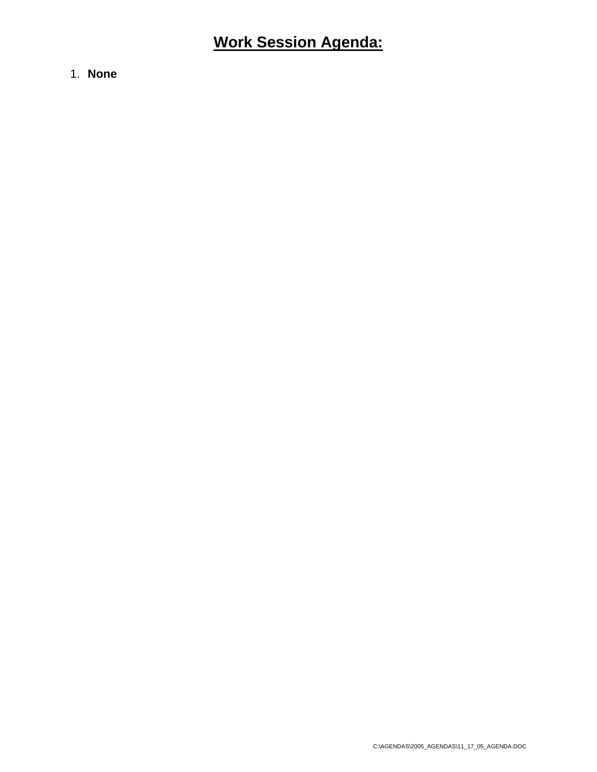1. **None**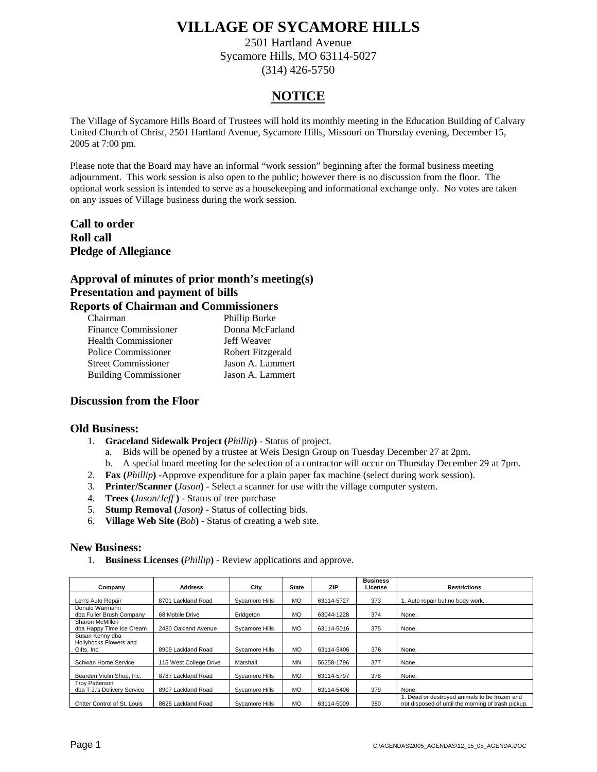2501 Hartland Avenue Sycamore Hills, MO 63114-5027 (314) 426-5750

### **NOTICE**

The Village of Sycamore Hills Board of Trustees will hold its monthly meeting in the Education Building of Calvary United Church of Christ, 2501 Hartland Avenue, Sycamore Hills, Missouri on Thursday evening, December 15, 2005 at 7:00 pm.

Please note that the Board may have an informal "work session" beginning after the formal business meeting adjournment. This work session is also open to the public; however there is no discussion from the floor. The optional work session is intended to serve as a housekeeping and informational exchange only. No votes are taken on any issues of Village business during the work session.

**Call to order Roll call Pledge of Allegiance** 

### **Approval of minutes of prior month's meeting(s) Presentation and payment of bills Reports of Chairman and Commissioners**

| рогиз от Спангният ана Соннивзютств |                   |
|-------------------------------------|-------------------|
| Chairman                            | Phillip Burke     |
| <b>Finance Commissioner</b>         | Donna McFarland   |
| <b>Health Commissioner</b>          | Jeff Weaver       |
| Police Commissioner                 | Robert Fitzgerald |
| <b>Street Commissioner</b>          | Jason A. Lammert  |
| <b>Building Commissioner</b>        | Jason A. Lammert  |

### **Discussion from the Floor**

### **Old Business:**

- 1. **Graceland Sidewalk Project (***Phillip***)** Status of project.
	- a. Bids will be opened by a trustee at Weis Design Group on Tuesday December 27 at 2pm.
	- b. A special board meeting for the selection of a contractor will occur on Thursday December 29 at 7pm.
- 2. **Fax (***Phillip***) -**Approve expenditure for a plain paper fax machine (select during work session).
- 3. **Printer/Scanner (***Jason***)** Select a scanner for use with the village computer system.
- 4. **Trees (***Jason/Jeff* **)** Status of tree purchase
- 5. **Stump Removal (***Jason)* Status of collecting bids.
- 6. **Village Web Site (***Bob***)** Status of creating a web site.

### **New Business:**

1. **Business Licenses (***Phillip***)** - Review applications and approve.

| Company                                                  | <b>Address</b>         | City           | <b>State</b> | ZIP        | <b>Business</b><br>License | <b>Restrictions</b>                                                                                 |
|----------------------------------------------------------|------------------------|----------------|--------------|------------|----------------------------|-----------------------------------------------------------------------------------------------------|
| Len's Auto Repair                                        | 8701 Lackland Road     | Svcamore Hills | <b>MO</b>    | 63114-5727 | 373                        | 1. Auto repair but no body work.                                                                    |
| Donald Warmann<br>dba Fuller Brush Company               | 68 Mobile Drive        | Bridgeton      | <b>MO</b>    | 63044-1228 | 374                        | None.                                                                                               |
| Sharon McMillen<br>dba Happy Time Ice Cream              | 2480 Oakland Avenue    | Sycamore Hills | <b>MO</b>    | 63114-5016 | 375                        | None.                                                                                               |
| Susan Kenny dba<br>Hollyhocks Flowers and<br>Gifts, Inc. | 8909 Lackland Road     | Sycamore Hills | <b>MO</b>    | 63114-5406 | 376                        | None.                                                                                               |
| Schwan Home Service                                      | 115 West College Drive | Marshall       | <b>MN</b>    | 56258-1796 | 377                        | None.                                                                                               |
| Bearden Violin Shop, Inc.                                | 8787 Lackland Road     | Svcamore Hills | <b>MO</b>    | 63114-5797 | 378                        | None.                                                                                               |
| <b>Troy Patterson</b><br>dba T.J.'s Delivery Service     | 8907 Lackland Road     | Sycamore Hills | <b>MO</b>    | 63114-5406 | 379                        | None.                                                                                               |
| Critter Control of St. Louis                             | 8625 Lackland Road     | Svcamore Hills | <b>MO</b>    | 63114-5009 | 380                        | 1. Dead or destroyed animals to be frozen and<br>not disposed of until the morning of trash pickup. |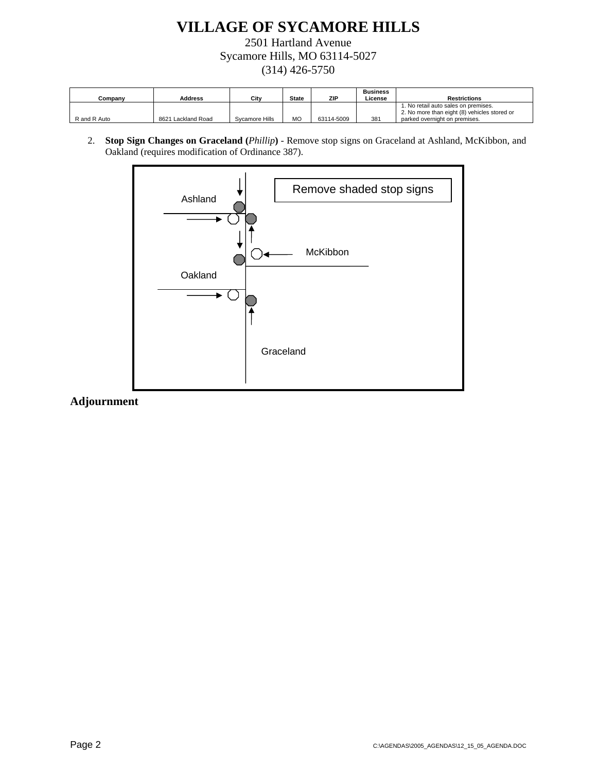2501 Hartland Avenue Sycamore Hills, MO 63114-5027 (314) 426-5750

| Companv      | Address            | Citv           | <b>State</b> | ZIP        | <b>Business</b><br>License | <b>Restrictions</b>                                                                                                   |
|--------------|--------------------|----------------|--------------|------------|----------------------------|-----------------------------------------------------------------------------------------------------------------------|
| R and R Auto | 8621 Lackland Road | Svcamore Hills | MC           | 63114-5009 | 381                        | 1. No retail auto sales on premises.<br>2. No more than eight (8) vehicles stored or<br>parked overnight on premises. |

2. **Stop Sign Changes on Graceland (***Phillip***)** - Remove stop signs on Graceland at Ashland, McKibbon, and Oakland (requires modification of Ordinance 387).

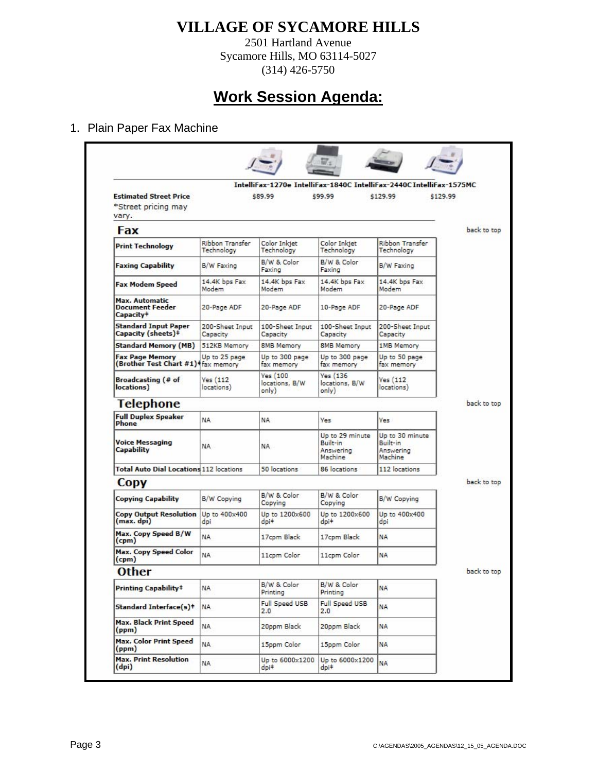2501 Hartland Avenue Sycamore Hills, MO 63114-5027 (314) 426-5750

# **Work Session Agenda:**

### 1. Plain Paper Fax Machine

|                                                                          |                                      |                                     |                                                     | IntelliFax-1270e IntelliFax-1840C IntelliFax-2440C IntelliFax-1575MC |             |
|--------------------------------------------------------------------------|--------------------------------------|-------------------------------------|-----------------------------------------------------|----------------------------------------------------------------------|-------------|
| <b>Estimated Street Price</b><br>*Street pricing may<br>vary.            |                                      | \$89.99                             | \$99.99                                             | \$129.99<br>\$129.99                                                 |             |
| Fax                                                                      |                                      |                                     |                                                     |                                                                      | back to top |
| <b>Print Technology</b>                                                  | <b>Ribbon Transfer</b><br>Technology | Color Inkjet<br>Technology          | Color Inkjet<br>Technology                          | <b>Ribbon Transfer</b><br>Technology                                 |             |
| <b>Faxing Capability</b>                                                 | B/W Faxing                           | B/W & Color<br>Faxing               | B/W & Color<br>Faxing                               | B/W Faxing                                                           |             |
| <b>Fax Modem Speed</b>                                                   | 14.4K bos Fax<br>Modem               | 14.4K bps Fax<br>Modem              | 14.4K bps Fax<br>Modem                              | 14.4K bos Fax<br>Modem                                               |             |
| <b>Max. Automatic</b><br><b>Document Feeder</b><br>Capacity <sup>‡</sup> | 20-Page ADF                          | 20-Page ADF                         | 10-Page ADF                                         | 20-Page ADF                                                          |             |
| <b>Standard Input Paper</b><br>Capacity (sheets)#                        | 200-Sheet Input<br>Capacity          | 100-Sheet Input<br>Capacity         | 100-Sheet Input<br>Capacity                         | 200-Sheet Input<br>Capacity                                          |             |
| <b>Standard Memory (MB)</b>                                              | 512KB Memory                         | <b>8MB Memory</b>                   | <b>8MB Memory</b>                                   | 1MB Memory                                                           |             |
| <b>Fax Page Memory</b><br>(Brother Test Chart #1)   fax memory           | Up to 25 page                        | Up to 300 page<br>fax memory        | Up to 300 page<br>fax memory                        | Up to 50 page<br>fax memory                                          |             |
| Broadcasting (# of<br>locations)                                         | Yes(112)<br>locations)               | Yes(100)<br>locations, B/W<br>only) | <b>Yes (136)</b><br>locations, B/W<br>only)         | Yes(112)<br>locations)                                               |             |
| Telephone                                                                |                                      |                                     |                                                     |                                                                      | back to top |
| <b>Full Duplex Speaker</b><br><b>Phone</b>                               | NA.                                  | NA.                                 | <b>Yes</b>                                          | <b>Yes</b>                                                           |             |
| <b>Voice Messaging</b><br><b>Capability</b>                              | NA                                   | <b>NA</b>                           | Up to 29 minute<br>Built-in<br>Answering<br>Machine | Up to 30 minute<br>Built-in<br>Answering<br>Machine                  |             |
| <b>Total Auto Dial Locations 112 locations</b>                           |                                      | 50 locations                        | 86 locations                                        | 112 locations                                                        |             |
| <b>Copy</b>                                                              |                                      |                                     |                                                     |                                                                      | back to top |
| Copying Capability                                                       | B/W Copying                          | B/W & Color<br>Copying              | B/W & Color<br>Copying                              | B/W Copying                                                          |             |
| Copy Output Resolution Up to 400x400<br>(max, dpi)                       | doi                                  | Up to 1200x600<br>doi <sup>#</sup>  | Up to 1200x600<br>$d$ pi $\pm$                      | Up to 400x400<br>dpi                                                 |             |
| Max. Copy Speed B/W<br>(cpm)                                             | NA.                                  | 17cpm Black                         | 17cpm Black                                         | <b>NA</b>                                                            |             |
| <b>Max. Copy Speed Color</b><br>(cpm)                                    | <b>NA</b>                            | 11cpm Color                         | 11cpm Color                                         | <b>NA</b>                                                            |             |
| <b>Other</b>                                                             |                                      |                                     |                                                     |                                                                      | back to top |
| <b>Printing Capability</b> #                                             | NA                                   | B/W & Color<br>Printing             | B/W & Color<br>Printing                             | <b>NA</b>                                                            |             |
| <b>Standard Interface(s)#</b>                                            | NA.                                  | Full Speed USB<br>2.0               | Full Speed USB<br>2.0                               | <b>NA</b>                                                            |             |
| <b>Max. Black Print Speed</b><br>(ppm)                                   | NA.                                  | 20ppm Black                         | 20ppm Black                                         | <b>NA</b>                                                            |             |
| <b>Max. Color Print Speed</b><br>(ppm)                                   | NA.                                  | 15ppm Color                         | 15ppm Color                                         | <b>NA</b>                                                            |             |
| <b>Max. Print Resolution</b><br>(dpi)                                    | NA.                                  | Up to 6000x1200<br>$d$ pi $\pm$     | Up to 6000x1200<br>$d$ pi $\pm$                     | <b>NA</b>                                                            |             |